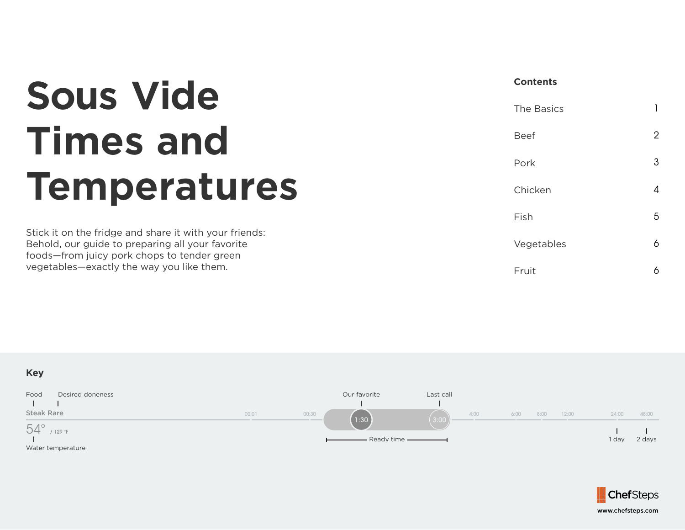## **Sous Vide Times and Temperatures**

Stick it on the fridge and share it with your friends: Behold, our guide to preparing all your favorite foods—from juicy pork chops to tender green vegetables—exactly the way you like them.

## **Contents**

| <b>The Basics</b> |   |
|-------------------|---|
| <b>Beef</b>       | 2 |
| Pork              | 3 |
| Chicken           | Δ |
| Fish              | 5 |
| Vegetables        | 6 |
| Fruit             |   |

## **Key**



Water temperature

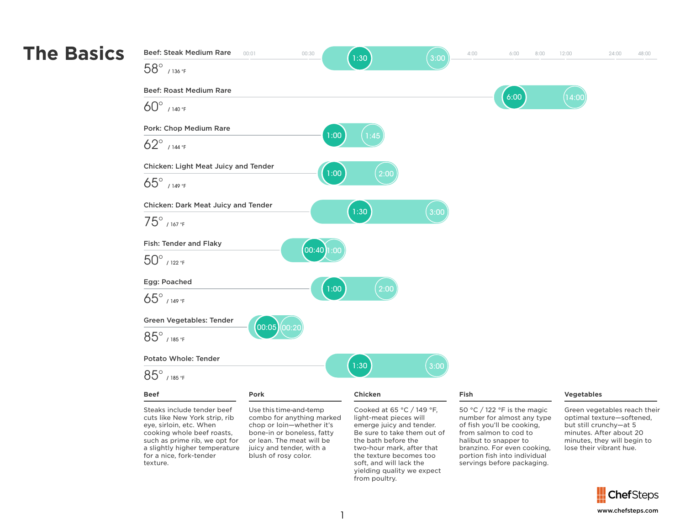

eye, sirloin, etc. When cooking whole beef roasts, such as prime rib, we opt for a slightly higher temperature for a nice, fork-tender texture.

chop or loin—whether it's bone-in or boneless, fatty or lean. The meat will be juicy and tender, with a blush of rosy color.

emerge juicy and tender. Be sure to take them out of the bath before the two-hour mark, after that the texture becomes too soft, and will lack the yielding quality we expect from poultry.

of fish you'll be cooking, from salmon to cod to halibut to snapper to branzino. For even cooking, portion fish into individual servings before packaging.

but still crunchy—at 5 minutes. After about 20 minutes, they will begin to lose their vibrant hue.

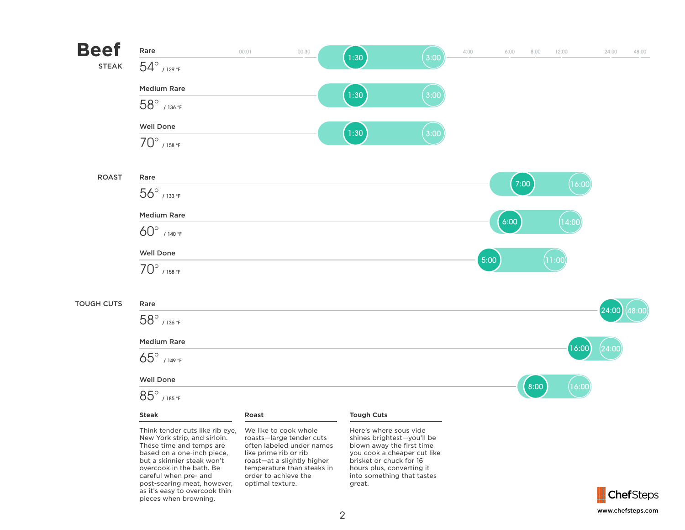

but a skinnier steak won't overcook in the bath. Be careful when pre- and post-searing meat, however, as it's easy to overcook thin pieces when browning.

temperature than steaks in

order to achieve the optimal texture.

brisket or chuck for 16 hours plus, converting it into something that tastes great.

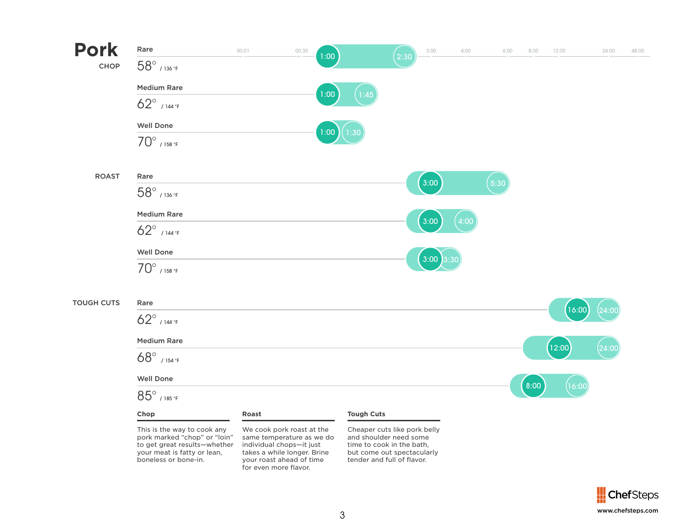

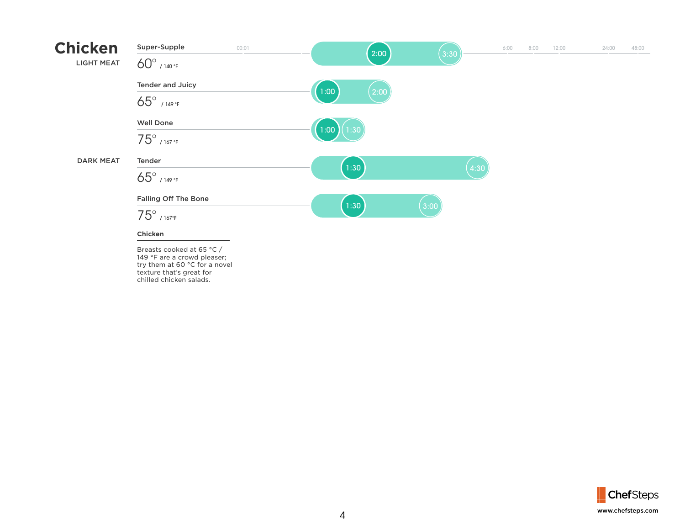

Breasts cooked at 65 °C / 149 °F are a crowd pleaser; try them at 60 °C for a novel texture that's great for chilled chicken salads.

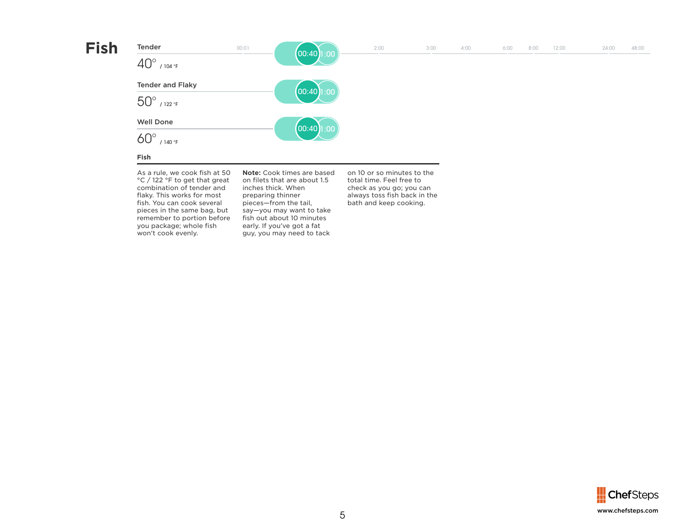

combination of tender and flaky. This works for most fish. You can cook several pieces in the same bag, but remember to portion before you package; whole fish won't cook evenly.

inches thick. When preparing thinner pieces—from the tail, say—you may want to take fish out about 10 minutes early. If you've got a fat guy, you may need to tack

check as you go; you can always toss fish back in the bath and keep cooking.